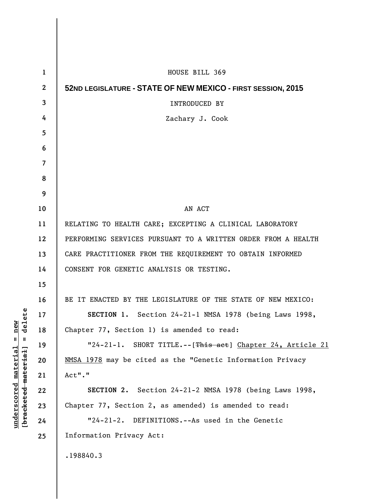| $\mathbf{1}$     | HOUSE BILL 369                                                |
|------------------|---------------------------------------------------------------|
| $\boldsymbol{2}$ | 52ND LEGISLATURE - STATE OF NEW MEXICO - FIRST SESSION, 2015  |
| 3                | <b>INTRODUCED BY</b>                                          |
| 4                | Zachary J. Cook                                               |
| 5                |                                                               |
| 6                |                                                               |
| 7                |                                                               |
| 8                |                                                               |
| 9                |                                                               |
| 10               | AN ACT                                                        |
| 11               | RELATING TO HEALTH CARE; EXCEPTING A CLINICAL LABORATORY      |
| 12               | PERFORMING SERVICES PURSUANT TO A WRITTEN ORDER FROM A HEALTH |
| 13               | CARE PRACTITIONER FROM THE REQUIREMENT TO OBTAIN INFORMED     |
| 14               | CONSENT FOR GENETIC ANALYSIS OR TESTING.                      |
| 15               |                                                               |
| 16               | BE IT ENACTED BY THE LEGISLATURE OF THE STATE OF NEW MEXICO:  |
| 17               | SECTION 1. Section 24-21-1 NMSA 1978 (being Laws 1998,        |
| 18               | Chapter 77, Section 1) is amended to read:                    |
| 19               | "24-21-1. SHORT TITLE.--[This act] Chapter 24, Article 21     |
| 20               | NMSA 1978 may be cited as the "Genetic Information Privacy    |
| 21               | Act"."                                                        |
| 22               | SECTION 2. Section 24-21-2 NMSA 1978 (being Laws 1998,        |
| 23               | Chapter 77, Section 2, as amended) is amended to read:        |
| 24               | "24-21-2. DEFINITIONS.--As used in the Genetic                |
| 25               | Information Privacy Act:                                      |
|                  | .198840.3                                                     |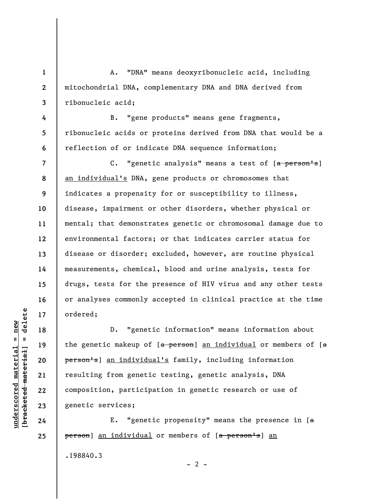A. "DNA" means deoxyribonucleic acid, including mitochondrial DNA, complementary DNA and DNA derived from ribonucleic acid;

**4 5 6**  B. "gene products" means gene fragments, ribonucleic acids or proteins derived from DNA that would be a reflection of or indicate DNA sequence information;

**7 8 9 10 11 12 13 14 15 16 17**  C. "genetic analysis" means a test of [a person's] an individual's DNA, gene products or chromosomes that indicates a propensity for or susceptibility to illness, disease, impairment or other disorders, whether physical or mental; that demonstrates genetic or chromosomal damage due to environmental factors; or that indicates carrier status for disease or disorder; excluded, however, are routine physical measurements, chemical, blood and urine analysis, tests for drugs, tests for the presence of HIV virus and any other tests or analyses commonly accepted in clinical practice at the time ordered;

D. "genetic information" means information about the genetic makeup of  $[a$  person] an individual or members of  $[a]$ person's] an individual's family, including information resulting from genetic testing, genetic analysis, DNA composition, participation in genetic research or use of genetic services;

E. "genetic propensity" means the presence in  $[a]$ person] an individual or members of [a person's] an .198840.3

 $\frac{1}{2}$  intereted material = delete **[bracketed material] = delete**  $underscored material = new$ **underscored material = new**

**18** 

**19** 

**20** 

**21** 

**22** 

**23** 

**24** 

**25** 

**1** 

**2** 

**3** 

 $- 2 -$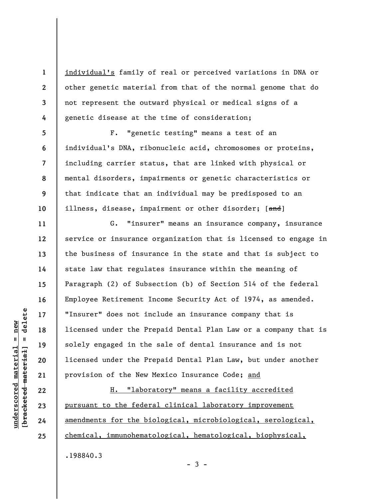**2 3**  individual's family of real or perceived variations in DNA or other genetic material from that of the normal genome that do not represent the outward physical or medical signs of a genetic disease at the time of consideration;

F. "genetic testing" means a test of an individual's DNA, ribonucleic acid, chromosomes or proteins, including carrier status, that are linked with physical or mental disorders, impairments or genetic characteristics or that indicate that an individual may be predisposed to an illness, disease, impairment or other disorder; [and]

G. "insurer" means an insurance company, insurance service or insurance organization that is licensed to engage in the business of insurance in the state and that is subject to state law that regulates insurance within the meaning of Paragraph (2) of Subsection (b) of Section 514 of the federal Employee Retirement Income Security Act of 1974, as amended. "Insurer" does not include an insurance company that is licensed under the Prepaid Dental Plan Law or a company that is solely engaged in the sale of dental insurance and is not licensed under the Prepaid Dental Plan Law, but under another provision of the New Mexico Insurance Code; and

H. "laboratory" means a facility accredited pursuant to the federal clinical laboratory improvement amendments for the biological, microbiological, serological, chemical, immunohematological, hematological, biophysical,

delete **[bracketed material] = delete**  $anderscored material = new$ **underscored material = new**  $\frac{1}{2}$ 

**1** 

**4** 

**5** 

**6** 

**7** 

**8** 

**9** 

**10** 

**11** 

**12** 

**13** 

**14** 

**15** 

**16** 

**17** 

**18** 

**19** 

**20** 

**21** 

**22** 

**23** 

**24** 

**25** 

.198840.3

 $-3 -$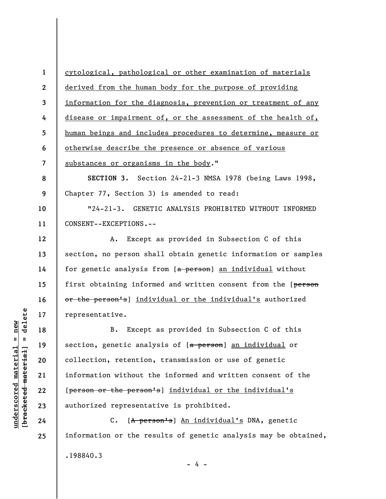**1 2 3 4 5 6 7 8 9 10 11 12 13 14 15 16 17 18 19 20 21 22 23 24 25**  cytological, pathological or other examination of materials derived from the human body for the purpose of providing information for the diagnosis, prevention or treatment of any disease or impairment of, or the assessment of the health of, human beings and includes procedures to determine, measure or otherwise describe the presence or absence of various substances or organisms in the body." **SECTION 3.** Section 24-21-3 NMSA 1978 (being Laws 1998, Chapter 77, Section 3) is amended to read: "24-21-3. GENETIC ANALYSIS PROHIBITED WITHOUT INFORMED CONSENT--EXCEPTIONS.-- A. Except as provided in Subsection C of this section, no person shall obtain genetic information or samples for genetic analysis from [a person] an individual without first obtaining informed and written consent from the [person or the person's] individual or the individual's authorized representative. B. Except as provided in Subsection C of this section, genetic analysis of [a person] an individual or collection, retention, transmission or use of genetic information without the informed and written consent of the [person or the person's] individual or the individual's authorized representative is prohibited. C. [A person's] An individual's DNA, genetic information or the results of genetic analysis may be obtained, .198840.3

delete **[bracketed material] = delete**  $underscored material = new$ **underscored material = new**  $\frac{1}{2}$ 

 $- 4 -$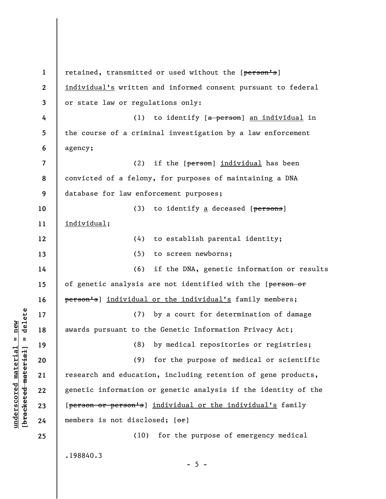**1 2 3 4 5 6 7 8 9 10 11 12 13 14 15 16 17 18 19 20 21 22 23 24 25**  retained, transmitted or used without the [person's] individual's written and informed consent pursuant to federal or state law or regulations only: (1) to identify [a person] an individual in the course of a criminal investigation by a law enforcement agency; (2) if the [person] individual has been convicted of a felony, for purposes of maintaining a DNA database for law enforcement purposes; (3) to identify a deceased  $[**persons**]$ individual; (4) to establish parental identity; (5) to screen newborns; (6) if the DNA, genetic information or results of genetic analysis are not identified with the [person or person's] individual or the individual's family members; (7) by a court for determination of damage awards pursuant to the Genetic Information Privacy Act; (8) by medical repositories or registries; (9) for the purpose of medical or scientific research and education, including retention of gene products, genetic information or genetic analysis if the identity of the [person or person's] individual or the individual's family members is not disclosed;  $[ $\sigma$ **r**]$ (10) for the purpose of emergency medical .198840.3  $- 5 -$ 

 $\frac{1}{2}$  intereted material = delete **[bracketed material] = delete**  $underscored material = new$ **underscored material = new**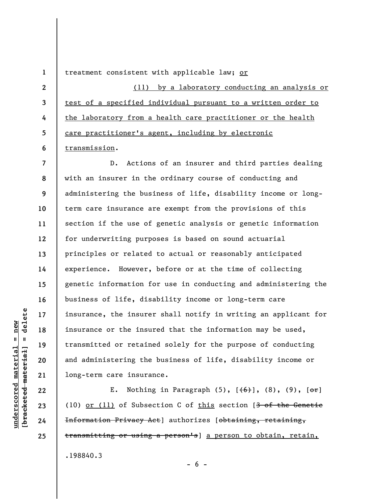treatment consistent with applicable law; or

**2 3 4 5 6**  (11) by a laboratory conducting an analysis or test of a specified individual pursuant to a written order to the laboratory from a health care practitioner or the health care practitioner's agent, including by electronic transmission.

**7 8 9 10 11 12 13 14 15 16 17 18 19 20 21**  D. Actions of an insurer and third parties dealing with an insurer in the ordinary course of conducting and administering the business of life, disability income or longterm care insurance are exempt from the provisions of this section if the use of genetic analysis or genetic information for underwriting purposes is based on sound actuarial principles or related to actual or reasonably anticipated experience. However, before or at the time of collecting genetic information for use in conducting and administering the business of life, disability income or long-term care insurance, the insurer shall notify in writing an applicant for insurance or the insured that the information may be used, transmitted or retained solely for the purpose of conducting and administering the business of life, disability income or long-term care insurance.

E. Nothing in Paragraph  $(5)$ ,  $[\frac{+6}{5}]$ ,  $(8)$ ,  $(9)$ ,  $[\frac{+6}{5}]$ (10) or (11) of Subsection C of this section [3 of the Genetic Information Privacy Act] authorizes [obtaining, retaining, transmitting or using a person's] a person to obtain, retain, .198840.3

**22** 

**23** 

**24** 

**25** 

**1** 

 $- 6 -$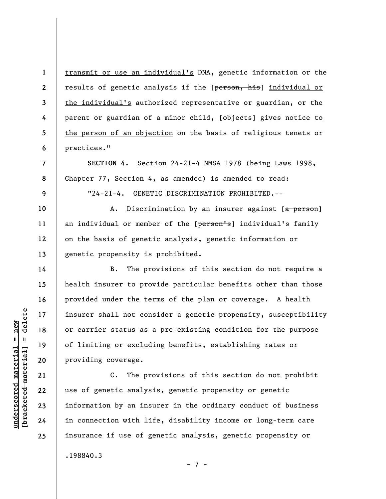transmit or use an individual's DNA, genetic information or the results of genetic analysis if the [person, his] individual or the individual's authorized representative or guardian, or the parent or guardian of a minor child, [objects] gives notice to the person of an objection on the basis of religious tenets or practices."

**8 SECTION 4.** Section 24-21-4 NMSA 1978 (being Laws 1998, Chapter 77, Section 4, as amended) is amended to read:

"24-21-4. GENETIC DISCRIMINATION PROHIBITED.--

A. Discrimination by an insurer against [a person] an individual or member of the [person's] individual's family on the basis of genetic analysis, genetic information or genetic propensity is prohibited.

B. The provisions of this section do not require a health insurer to provide particular benefits other than those provided under the terms of the plan or coverage. A health insurer shall not consider a genetic propensity, susceptibility or carrier status as a pre-existing condition for the purpose of limiting or excluding benefits, establishing rates or providing coverage.

C. The provisions of this section do not prohibit use of genetic analysis, genetic propensity or genetic information by an insurer in the ordinary conduct of business in connection with life, disability income or long-term care insurance if use of genetic analysis, genetic propensity or .198840.3

 $\frac{1}{2}$  of  $\frac{1}{2}$  and  $\frac{1}{2}$  and  $\frac{1}{2}$  and  $\frac{1}{2}$  and  $\frac{1}{2}$  and  $\frac{1}{2}$  and  $\frac{1}{2}$  and  $\frac{1}{2}$  and  $\frac{1}{2}$  and  $\frac{1}{2}$  and  $\frac{1}{2}$  and  $\frac{1}{2}$  and  $\frac{1}{2}$  and  $\frac{1}{2}$  and  $\frac{1}{2}$  an **[bracketed material] = delete**  $underscored material = new$ **underscored material = new**

**1** 

**2** 

**3** 

**4** 

**5** 

**6** 

**7** 

**9** 

**10** 

**11** 

**12** 

**13** 

**14** 

**15** 

**16** 

**17** 

**18** 

**19** 

**20** 

**21** 

**22** 

**23** 

**24** 

**25** 

```
- 7 -
```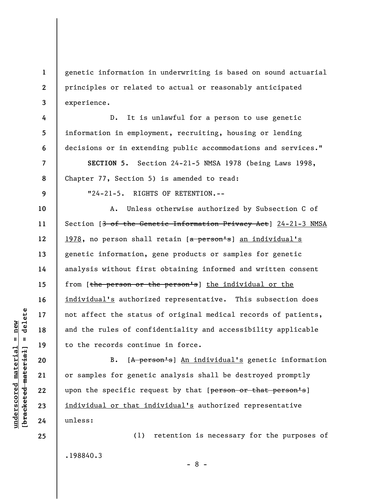**1 2 3**  genetic information in underwriting is based on sound actuarial principles or related to actual or reasonably anticipated experience.

D. It is unlawful for a person to use genetic information in employment, recruiting, housing or lending decisions or in extending public accommodations and services."

**8 SECTION 5.** Section 24-21-5 NMSA 1978 (being Laws 1998, Chapter 77, Section 5) is amended to read:

**9** 

**10** 

**11** 

**12** 

**13** 

**14** 

**15** 

**16** 

**17** 

**18** 

**19** 

**20** 

**21** 

**22** 

**23** 

**24** 

**25** 

**4** 

**5** 

**6** 

**7** 

"24-21-5. RIGHTS OF RETENTION.--

A. Unless otherwise authorized by Subsection C of Section [3 of the Genetic Information Privacy Act] 24-21-3 NMSA 1978, no person shall retain [a person's] an individual's genetic information, gene products or samples for genetic analysis without first obtaining informed and written consent from [the person or the person's] the individual or the individual's authorized representative. This subsection does not affect the status of original medical records of patients, and the rules of confidentiality and accessibility applicable to the records continue in force.

B. [A person's] An individual's genetic information or samples for genetic analysis shall be destroyed promptly upon the specific request by that [person or that person's] individual or that individual's authorized representative unless:

(1) retention is necessary for the purposes of .198840.3

- 8 -

 $\frac{1}{2}$  of  $\frac{1}{2}$  and  $\frac{1}{2}$  and  $\frac{1}{2}$  and  $\frac{1}{2}$  and  $\frac{1}{2}$  and  $\frac{1}{2}$  and  $\frac{1}{2}$  and  $\frac{1}{2}$  and  $\frac{1}{2}$  and  $\frac{1}{2}$  and  $\frac{1}{2}$  and  $\frac{1}{2}$  and  $\frac{1}{2}$  and  $\frac{1}{2}$  and  $\frac{1}{2}$  an **[bracketed material] = delete**  $underscored material = new$ **underscored material = new**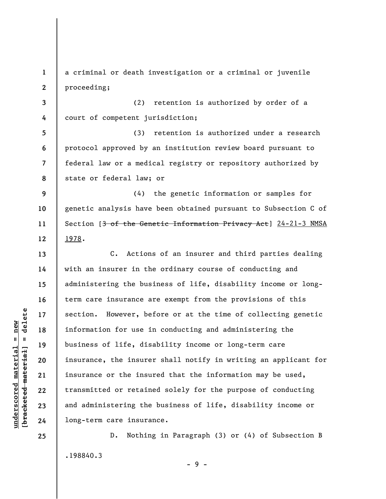**1 2**  a criminal or death investigation or a criminal or juvenile proceeding;

**3 4**  (2) retention is authorized by order of a court of competent jurisdiction;

**5 6 7 8**  (3) retention is authorized under a research protocol approved by an institution review board pursuant to federal law or a medical registry or repository authorized by state or federal law; or

**9 10 11 12**  (4) the genetic information or samples for genetic analysis have been obtained pursuant to Subsection C of Section [3 of the Genetic Information Privacy Act] 24-21-3 NMSA 1978.

C. Actions of an insurer and third parties dealing with an insurer in the ordinary course of conducting and administering the business of life, disability income or longterm care insurance are exempt from the provisions of this section. However, before or at the time of collecting genetic information for use in conducting and administering the business of life, disability income or long-term care insurance, the insurer shall notify in writing an applicant for insurance or the insured that the information may be used, transmitted or retained solely for the purpose of conducting and administering the business of life, disability income or long-term care insurance.

D. Nothing in Paragraph (3) or (4) of Subsection B .198840.3 - 9 -

 $\frac{1}{2}$  intereted material = delete **[bracketed material] = delete**  $underscored material = new$ **underscored material = new**

**13** 

**14** 

**15** 

**16** 

**17** 

**18** 

**19** 

**20** 

**21** 

**22** 

**23** 

**24** 

**25**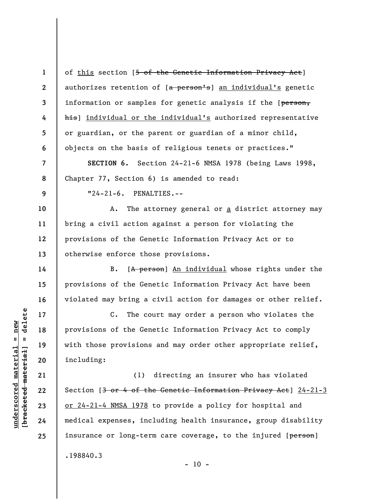**1 2 3 4 5 6**  of this section [5 of the Genetic Information Privacy Act] authorizes retention of [a person's] an individual's genetic information or samples for genetic analysis if the [person, his] individual or the individual's authorized representative or guardian, or the parent or guardian of a minor child, objects on the basis of religious tenets or practices."

**7 8 SECTION 6.** Section 24-21-6 NMSA 1978 (being Laws 1998, Chapter 77, Section 6) is amended to read:

"24-21-6. PENALTIES.--

**10 11 12 13**  A. The attorney general or a district attorney may bring a civil action against a person for violating the provisions of the Genetic Information Privacy Act or to otherwise enforce those provisions.

B. [A person] An individual whose rights under the provisions of the Genetic Information Privacy Act have been violated may bring a civil action for damages or other relief.

C. The court may order a person who violates the provisions of the Genetic Information Privacy Act to comply with those provisions and may order other appropriate relief, including:

(1) directing an insurer who has violated Section [3 or 4 of the Genetic Information Privacy Act] 24-21-3 or 24-21-4 NMSA 1978 to provide a policy for hospital and medical expenses, including health insurance, group disability insurance or long-term care coverage, to the injured [person] .198840.3

 $- 10 -$ 

**9** 

**14** 

**15** 

**16** 

**17** 

**18** 

**19** 

**20** 

**21** 

**22** 

**23** 

**24** 

**25**